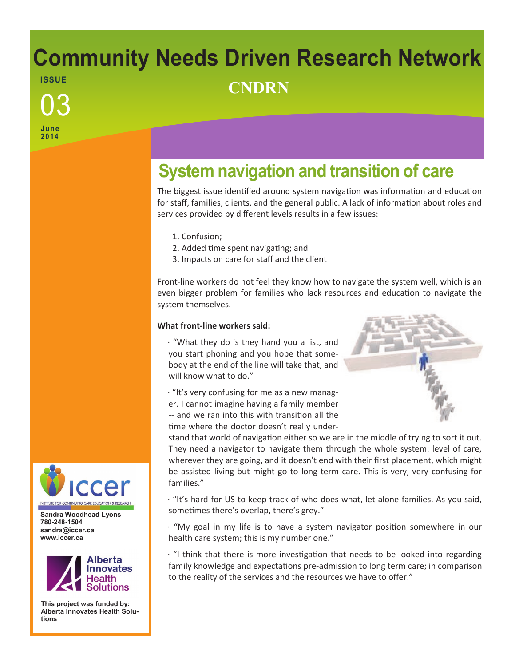# **Community Needs Driven Research Network ISSUE** <sup>03</sup> **CNDRN**

**June 2014**

# **System navigation and transition of care**

The biggest issue identified around system navigation was information and education for staff, families, clients, and the general public. A lack of information about roles and services provided by different levels results in a few issues:

- 1. Confusion;
- 2. Added time spent navigating; and
- 3. Impacts on care for staff and the client

Front-line workers do not feel they know how to navigate the system well, which is an even bigger problem for families who lack resources and education to navigate the system themselves.

# **What front-line workers said:**

· "What they do is they hand you a list, and you start phoning and you hope that somebody at the end of the line will take that, and will know what to do."

· "It's very confusing for me as a new manager. I cannot imagine having a family member -- and we ran into this with transition all the time where the doctor doesn't really under-



stand that world of navigation either so we are in the middle of trying to sort it out. They need a navigator to navigate them through the whole system: level of care, wherever they are going, and it doesn't end with their first placement, which might be assisted living but might go to long term care. This is very, very confusing for families."

· "It's hard for US to keep track of who does what, let alone families. As you said, sometimes there's overlap, there's grey."

· "My goal in my life is to have a system navigator position somewhere in our health care system; this is my number one."

· "I think that there is more investigation that needs to be looked into regarding family knowledge and expectations pre-admission to long term care; in comparison to the reality of the services and the resources we have to offer."



**Sandra Woodhead Lyons 780-248-1504 sandra@iccer.ca www.iccer.ca** 



**This project was funded by: Alberta Innovates Health Solutions**